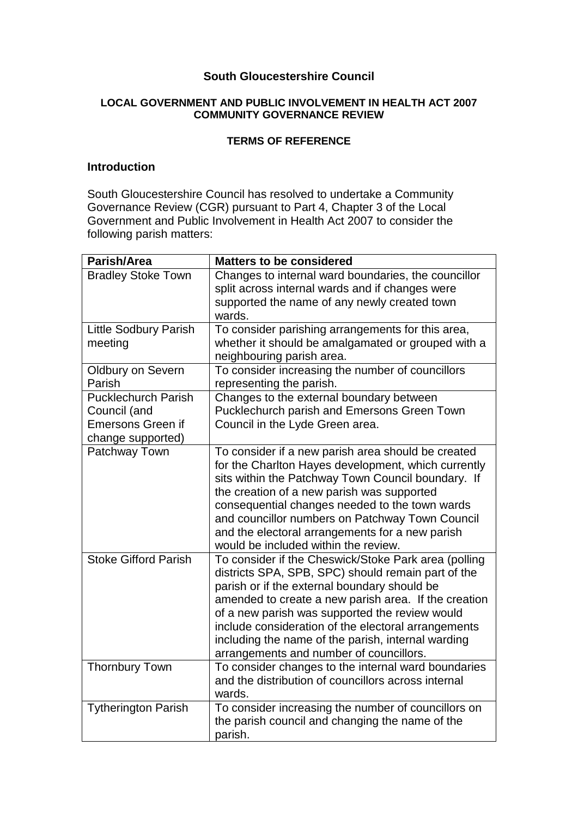#### **South Gloucestershire Council**

#### **LOCAL GOVERNMENT AND PUBLIC INVOLVEMENT IN HEALTH ACT 2007 COMMUNITY GOVERNANCE REVIEW**

#### **TERMS OF REFERENCE**

#### **Introduction**

South Gloucestershire Council has resolved to undertake a Community Governance Review (CGR) pursuant to Part 4, Chapter 3 of the Local Government and Public Involvement in Health Act 2007 to consider the following parish matters:

| Parish/Area                                                                                 | <b>Matters to be considered</b>                                                                                                                                                                                                                                                                                                                                                                                              |
|---------------------------------------------------------------------------------------------|------------------------------------------------------------------------------------------------------------------------------------------------------------------------------------------------------------------------------------------------------------------------------------------------------------------------------------------------------------------------------------------------------------------------------|
| <b>Bradley Stoke Town</b>                                                                   | Changes to internal ward boundaries, the councillor<br>split across internal wards and if changes were<br>supported the name of any newly created town<br>wards.                                                                                                                                                                                                                                                             |
| <b>Little Sodbury Parish</b><br>meeting                                                     | To consider parishing arrangements for this area,<br>whether it should be amalgamated or grouped with a<br>neighbouring parish area.                                                                                                                                                                                                                                                                                         |
| <b>Oldbury on Severn</b><br>Parish                                                          | To consider increasing the number of councillors<br>representing the parish.                                                                                                                                                                                                                                                                                                                                                 |
| <b>Pucklechurch Parish</b><br>Council (and<br><b>Emersons Green if</b><br>change supported) | Changes to the external boundary between<br>Pucklechurch parish and Emersons Green Town<br>Council in the Lyde Green area.                                                                                                                                                                                                                                                                                                   |
| Patchway Town                                                                               | To consider if a new parish area should be created<br>for the Charlton Hayes development, which currently<br>sits within the Patchway Town Council boundary. If<br>the creation of a new parish was supported<br>consequential changes needed to the town wards<br>and councillor numbers on Patchway Town Council<br>and the electoral arrangements for a new parish<br>would be included within the review.                |
| <b>Stoke Gifford Parish</b>                                                                 | To consider if the Cheswick/Stoke Park area (polling<br>districts SPA, SPB, SPC) should remain part of the<br>parish or if the external boundary should be<br>amended to create a new parish area. If the creation<br>of a new parish was supported the review would<br>include consideration of the electoral arrangements<br>including the name of the parish, internal warding<br>arrangements and number of councillors. |
| <b>Thornbury Town</b>                                                                       | To consider changes to the internal ward boundaries<br>and the distribution of councillors across internal<br>wards.                                                                                                                                                                                                                                                                                                         |
| <b>Tytherington Parish</b>                                                                  | To consider increasing the number of councillors on<br>the parish council and changing the name of the<br>parish.                                                                                                                                                                                                                                                                                                            |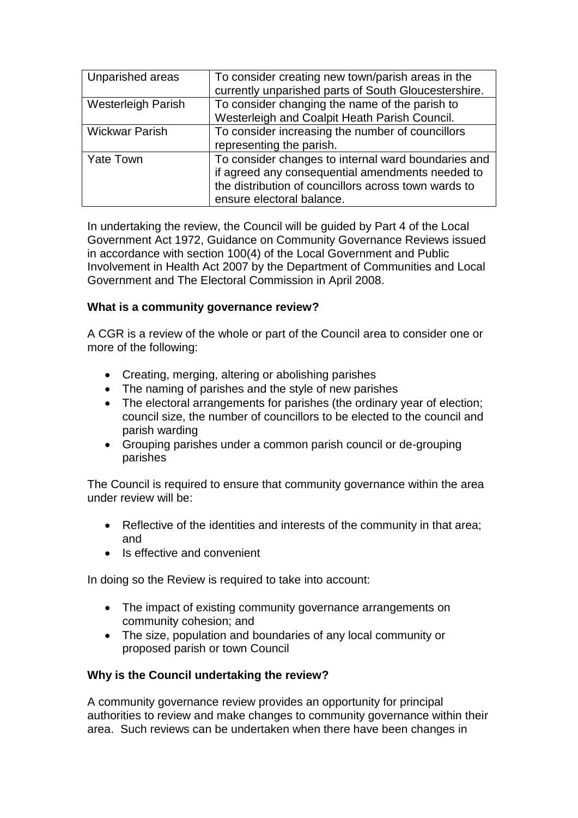| Unparished areas          | To consider creating new town/parish areas in the<br>currently unparished parts of South Gloucestershire.                                                                                    |
|---------------------------|----------------------------------------------------------------------------------------------------------------------------------------------------------------------------------------------|
| <b>Westerleigh Parish</b> | To consider changing the name of the parish to<br>Westerleigh and Coalpit Heath Parish Council.                                                                                              |
| <b>Wickwar Parish</b>     | To consider increasing the number of councillors<br>representing the parish.                                                                                                                 |
| <b>Yate Town</b>          | To consider changes to internal ward boundaries and<br>if agreed any consequential amendments needed to<br>the distribution of councillors across town wards to<br>ensure electoral balance. |

In undertaking the review, the Council will be guided by Part 4 of the Local Government Act 1972, Guidance on Community Governance Reviews issued in accordance with section 100(4) of the Local Government and Public Involvement in Health Act 2007 by the Department of Communities and Local Government and The Electoral Commission in April 2008.

## **What is a community governance review?**

A CGR is a review of the whole or part of the Council area to consider one or more of the following:

- Creating, merging, altering or abolishing parishes
- The naming of parishes and the style of new parishes
- The electoral arrangements for parishes (the ordinary year of election; council size, the number of councillors to be elected to the council and parish warding
- Grouping parishes under a common parish council or de-grouping parishes

The Council is required to ensure that community governance within the area under review will be:

- Reflective of the identities and interests of the community in that area; and
- Is effective and convenient

In doing so the Review is required to take into account:

- The impact of existing community governance arrangements on community cohesion; and
- The size, population and boundaries of any local community or proposed parish or town Council

## **Why is the Council undertaking the review?**

A community governance review provides an opportunity for principal authorities to review and make changes to community governance within their area. Such reviews can be undertaken when there have been changes in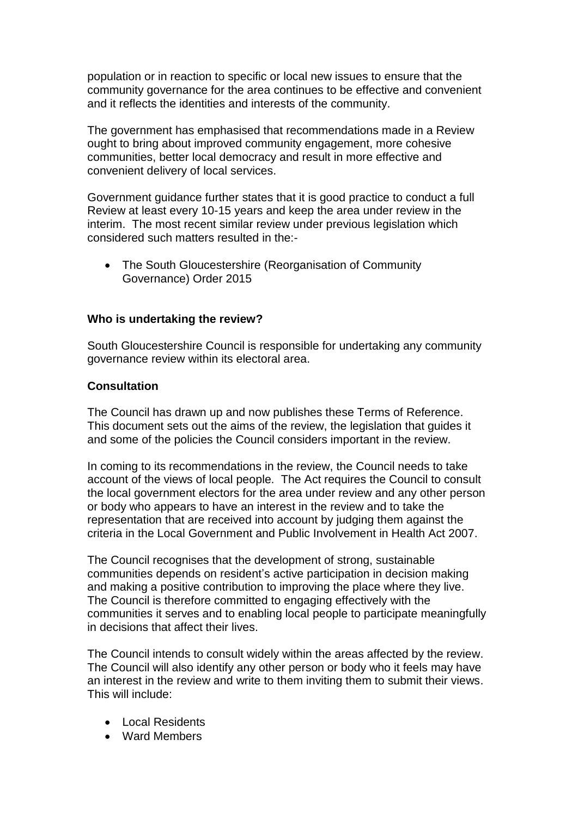population or in reaction to specific or local new issues to ensure that the community governance for the area continues to be effective and convenient and it reflects the identities and interests of the community.

The government has emphasised that recommendations made in a Review ought to bring about improved community engagement, more cohesive communities, better local democracy and result in more effective and convenient delivery of local services.

Government guidance further states that it is good practice to conduct a full Review at least every 10-15 years and keep the area under review in the interim. The most recent similar review under previous legislation which considered such matters resulted in the:-

• The South Gloucestershire (Reorganisation of Community Governance) Order 2015

## **Who is undertaking the review?**

South Gloucestershire Council is responsible for undertaking any community governance review within its electoral area.

## **Consultation**

The Council has drawn up and now publishes these Terms of Reference. This document sets out the aims of the review, the legislation that guides it and some of the policies the Council considers important in the review.

In coming to its recommendations in the review, the Council needs to take account of the views of local people. The Act requires the Council to consult the local government electors for the area under review and any other person or body who appears to have an interest in the review and to take the representation that are received into account by judging them against the criteria in the Local Government and Public Involvement in Health Act 2007.

The Council recognises that the development of strong, sustainable communities depends on resident's active participation in decision making and making a positive contribution to improving the place where they live. The Council is therefore committed to engaging effectively with the communities it serves and to enabling local people to participate meaningfully in decisions that affect their lives.

The Council intends to consult widely within the areas affected by the review. The Council will also identify any other person or body who it feels may have an interest in the review and write to them inviting them to submit their views. This will include:

- Local Residents
- Ward Members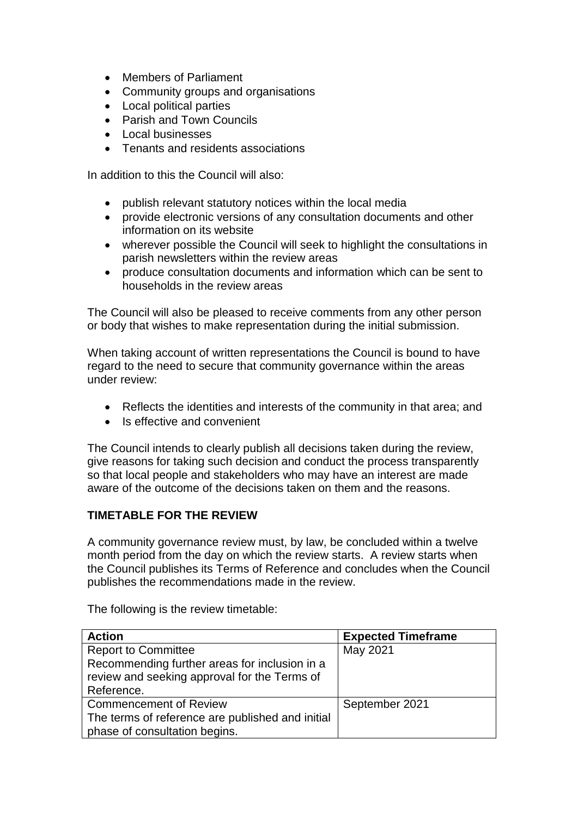- Members of Parliament
- Community groups and organisations
- Local political parties
- Parish and Town Councils
- Local businesses
- Tenants and residents associations

In addition to this the Council will also:

- publish relevant statutory notices within the local media
- provide electronic versions of any consultation documents and other information on its website
- wherever possible the Council will seek to highlight the consultations in parish newsletters within the review areas
- produce consultation documents and information which can be sent to households in the review areas

The Council will also be pleased to receive comments from any other person or body that wishes to make representation during the initial submission.

When taking account of written representations the Council is bound to have regard to the need to secure that community governance within the areas under review:

- Reflects the identities and interests of the community in that area; and
- Is effective and convenient

The Council intends to clearly publish all decisions taken during the review, give reasons for taking such decision and conduct the process transparently so that local people and stakeholders who may have an interest are made aware of the outcome of the decisions taken on them and the reasons.

## **TIMETABLE FOR THE REVIEW**

A community governance review must, by law, be concluded within a twelve month period from the day on which the review starts. A review starts when the Council publishes its Terms of Reference and concludes when the Council publishes the recommendations made in the review.

The following is the review timetable:

| <b>Action</b>                                    | <b>Expected Timeframe</b> |
|--------------------------------------------------|---------------------------|
| <b>Report to Committee</b>                       | May 2021                  |
| Recommending further areas for inclusion in a    |                           |
| review and seeking approval for the Terms of     |                           |
| Reference.                                       |                           |
| <b>Commencement of Review</b>                    | September 2021            |
| The terms of reference are published and initial |                           |
| phase of consultation begins.                    |                           |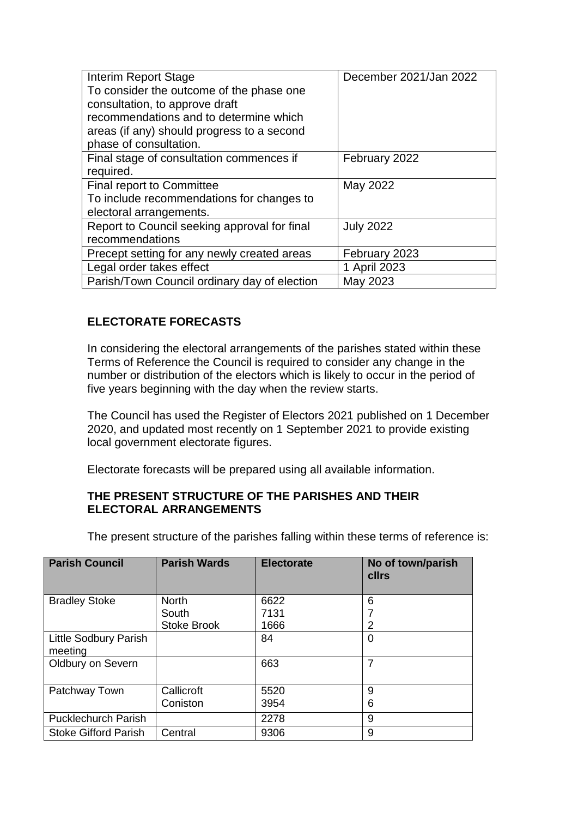| <b>Interim Report Stage</b>                  | December 2021/Jan 2022 |
|----------------------------------------------|------------------------|
| To consider the outcome of the phase one     |                        |
| consultation, to approve draft               |                        |
| recommendations and to determine which       |                        |
| areas (if any) should progress to a second   |                        |
| phase of consultation.                       |                        |
| Final stage of consultation commences if     | February 2022          |
| required.                                    |                        |
| <b>Final report to Committee</b>             | May 2022               |
| To include recommendations for changes to    |                        |
| electoral arrangements.                      |                        |
| Report to Council seeking approval for final | <b>July 2022</b>       |
| recommendations                              |                        |
| Precept setting for any newly created areas  | February 2023          |
| Legal order takes effect                     | 1 April 2023           |
| Parish/Town Council ordinary day of election | May 2023               |

# **ELECTORATE FORECASTS**

In considering the electoral arrangements of the parishes stated within these Terms of Reference the Council is required to consider any change in the number or distribution of the electors which is likely to occur in the period of five years beginning with the day when the review starts.

The Council has used the Register of Electors 2021 published on 1 December 2020, and updated most recently on 1 September 2021 to provide existing local government electorate figures.

Electorate forecasts will be prepared using all available information.

## **THE PRESENT STRUCTURE OF THE PARISHES AND THEIR ELECTORAL ARRANGEMENTS**

The present structure of the parishes falling within these terms of reference is:

| <b>Parish Council</b>            | <b>Parish Wards</b> | <b>Electorate</b> | No of town/parish<br>cllrs |
|----------------------------------|---------------------|-------------------|----------------------------|
| <b>Bradley Stoke</b>             | <b>North</b>        | 6622              | 6                          |
|                                  | South               | 7131              |                            |
|                                  | <b>Stoke Brook</b>  | 1666              |                            |
| Little Sodbury Parish<br>meeting |                     | 84                | 0                          |
| Oldbury on Severn                |                     | 663               | 7                          |
| Patchway Town                    | Callicroft          | 5520              | 9                          |
|                                  | Coniston            | 3954              | 6                          |
| <b>Pucklechurch Parish</b>       |                     | 2278              | 9                          |
| <b>Stoke Gifford Parish</b>      | Central             | 9306              | 9                          |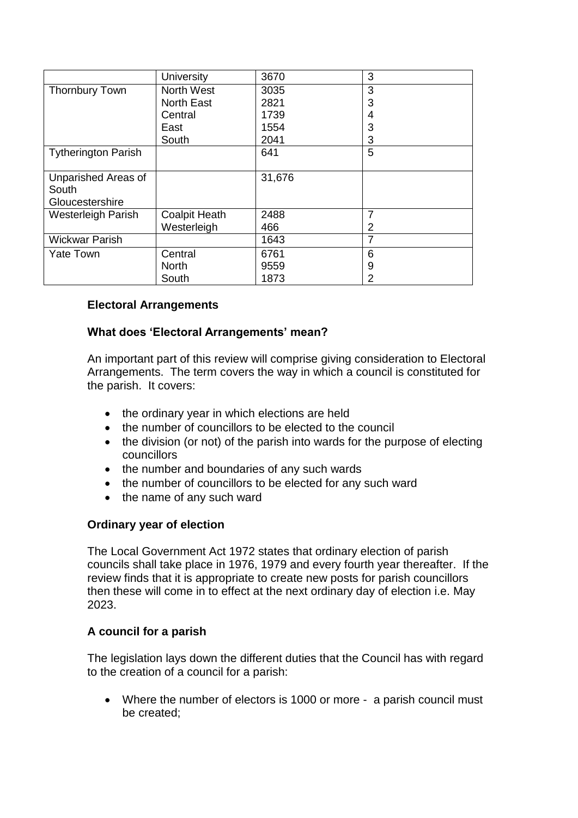|                                                 | <b>University</b>    | 3670   | 3 |
|-------------------------------------------------|----------------------|--------|---|
| <b>Thornbury Town</b>                           | North West           | 3035   | 3 |
|                                                 | <b>North East</b>    | 2821   | 3 |
|                                                 | Central              | 1739   | 4 |
|                                                 | East                 | 1554   | 3 |
|                                                 | South                | 2041   | 3 |
| <b>Tytherington Parish</b>                      |                      | 641    | 5 |
| Unparished Areas of<br>South<br>Gloucestershire |                      | 31,676 |   |
| Westerleigh Parish                              | <b>Coalpit Heath</b> | 2488   |   |
|                                                 | Westerleigh          | 466    | 2 |
| <b>Wickwar Parish</b>                           |                      | 1643   | 7 |
| <b>Yate Town</b>                                | Central              | 6761   | 6 |
|                                                 | <b>North</b>         | 9559   | 9 |
|                                                 | South                | 1873   | 2 |

## **Electoral Arrangements**

## **What does 'Electoral Arrangements' mean?**

An important part of this review will comprise giving consideration to Electoral Arrangements. The term covers the way in which a council is constituted for the parish. It covers:

- the ordinary year in which elections are held
- the number of councillors to be elected to the council
- the division (or not) of the parish into wards for the purpose of electing councillors
- the number and boundaries of any such wards
- the number of councillors to be elected for any such ward
- the name of any such ward

## **Ordinary year of election**

The Local Government Act 1972 states that ordinary election of parish councils shall take place in 1976, 1979 and every fourth year thereafter. If the review finds that it is appropriate to create new posts for parish councillors then these will come in to effect at the next ordinary day of election i.e. May 2023.

## **A council for a parish**

The legislation lays down the different duties that the Council has with regard to the creation of a council for a parish:

• Where the number of electors is 1000 or more - a parish council must be created;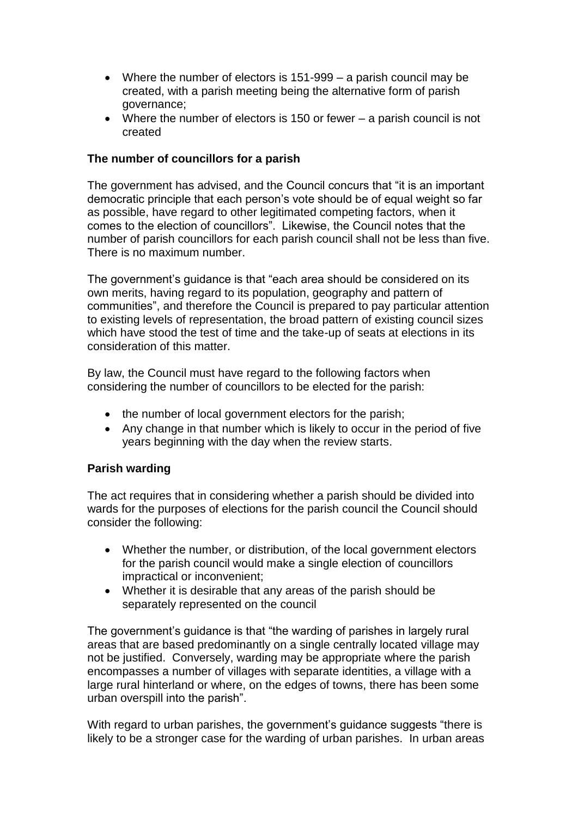- Where the number of electors is 151-999 a parish council may be created, with a parish meeting being the alternative form of parish governance;
- Where the number of electors is 150 or fewer a parish council is not created

## **The number of councillors for a parish**

The government has advised, and the Council concurs that "it is an important democratic principle that each person's vote should be of equal weight so far as possible, have regard to other legitimated competing factors, when it comes to the election of councillors". Likewise, the Council notes that the number of parish councillors for each parish council shall not be less than five. There is no maximum number.

The government's guidance is that "each area should be considered on its own merits, having regard to its population, geography and pattern of communities", and therefore the Council is prepared to pay particular attention to existing levels of representation, the broad pattern of existing council sizes which have stood the test of time and the take-up of seats at elections in its consideration of this matter.

By law, the Council must have regard to the following factors when considering the number of councillors to be elected for the parish:

- the number of local government electors for the parish;
- Any change in that number which is likely to occur in the period of five years beginning with the day when the review starts.

## **Parish warding**

The act requires that in considering whether a parish should be divided into wards for the purposes of elections for the parish council the Council should consider the following:

- Whether the number, or distribution, of the local government electors for the parish council would make a single election of councillors impractical or inconvenient;
- Whether it is desirable that any areas of the parish should be separately represented on the council

The government's guidance is that "the warding of parishes in largely rural areas that are based predominantly on a single centrally located village may not be justified. Conversely, warding may be appropriate where the parish encompasses a number of villages with separate identities, a village with a large rural hinterland or where, on the edges of towns, there has been some urban overspill into the parish".

With regard to urban parishes, the government's guidance suggests "there is likely to be a stronger case for the warding of urban parishes. In urban areas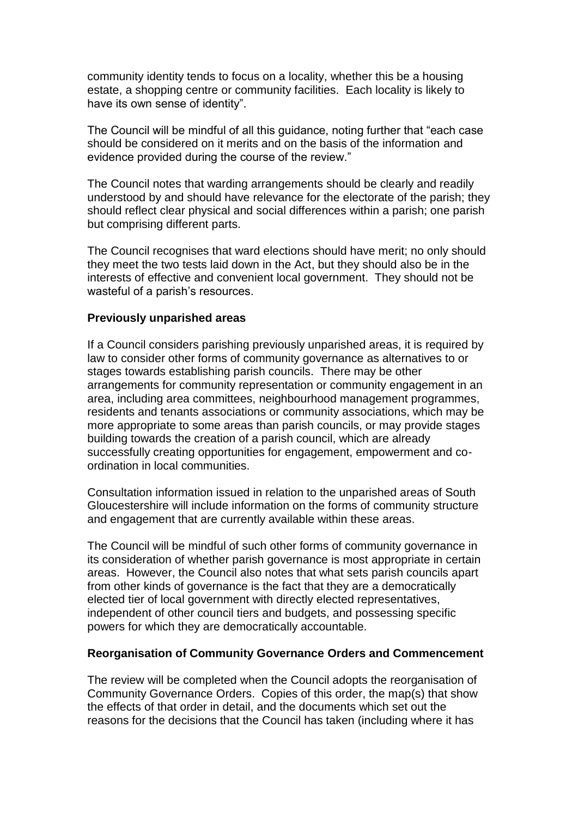community identity tends to focus on a locality, whether this be a housing estate, a shopping centre or community facilities. Each locality is likely to have its own sense of identity".

The Council will be mindful of all this guidance, noting further that "each case should be considered on it merits and on the basis of the information and evidence provided during the course of the review."

The Council notes that warding arrangements should be clearly and readily understood by and should have relevance for the electorate of the parish; they should reflect clear physical and social differences within a parish; one parish but comprising different parts.

The Council recognises that ward elections should have merit; no only should they meet the two tests laid down in the Act, but they should also be in the interests of effective and convenient local government. They should not be wasteful of a parish's resources.

#### **Previously unparished areas**

If a Council considers parishing previously unparished areas, it is required by law to consider other forms of community governance as alternatives to or stages towards establishing parish councils. There may be other arrangements for community representation or community engagement in an area, including area committees, neighbourhood management programmes, residents and tenants associations or community associations, which may be more appropriate to some areas than parish councils, or may provide stages building towards the creation of a parish council, which are already successfully creating opportunities for engagement, empowerment and coordination in local communities.

Consultation information issued in relation to the unparished areas of South Gloucestershire will include information on the forms of community structure and engagement that are currently available within these areas.

The Council will be mindful of such other forms of community governance in its consideration of whether parish governance is most appropriate in certain areas. However, the Council also notes that what sets parish councils apart from other kinds of governance is the fact that they are a democratically elected tier of local government with directly elected representatives, independent of other council tiers and budgets, and possessing specific powers for which they are democratically accountable.

#### **Reorganisation of Community Governance Orders and Commencement**

The review will be completed when the Council adopts the reorganisation of Community Governance Orders. Copies of this order, the map(s) that show the effects of that order in detail, and the documents which set out the reasons for the decisions that the Council has taken (including where it has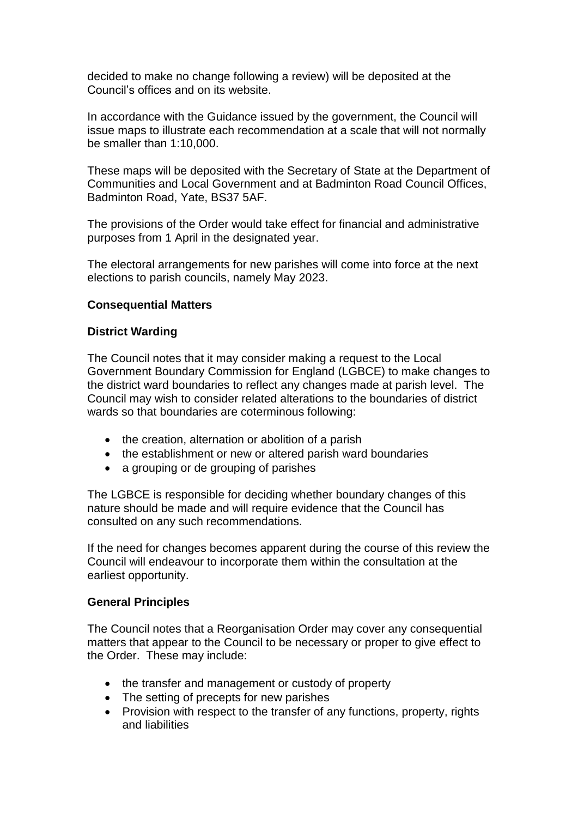decided to make no change following a review) will be deposited at the Council's offices and on its website.

In accordance with the Guidance issued by the government, the Council will issue maps to illustrate each recommendation at a scale that will not normally be smaller than 1:10,000.

These maps will be deposited with the Secretary of State at the Department of Communities and Local Government and at Badminton Road Council Offices, Badminton Road, Yate, BS37 5AF.

The provisions of the Order would take effect for financial and administrative purposes from 1 April in the designated year.

The electoral arrangements for new parishes will come into force at the next elections to parish councils, namely May 2023.

#### **Consequential Matters**

#### **District Warding**

The Council notes that it may consider making a request to the Local Government Boundary Commission for England (LGBCE) to make changes to the district ward boundaries to reflect any changes made at parish level. The Council may wish to consider related alterations to the boundaries of district wards so that boundaries are coterminous following:

- the creation, alternation or abolition of a parish
- the establishment or new or altered parish ward boundaries
- a grouping or de grouping of parishes

The LGBCE is responsible for deciding whether boundary changes of this nature should be made and will require evidence that the Council has consulted on any such recommendations.

If the need for changes becomes apparent during the course of this review the Council will endeavour to incorporate them within the consultation at the earliest opportunity.

#### **General Principles**

The Council notes that a Reorganisation Order may cover any consequential matters that appear to the Council to be necessary or proper to give effect to the Order. These may include:

- the transfer and management or custody of property
- The setting of precepts for new parishes
- Provision with respect to the transfer of any functions, property, rights and liabilities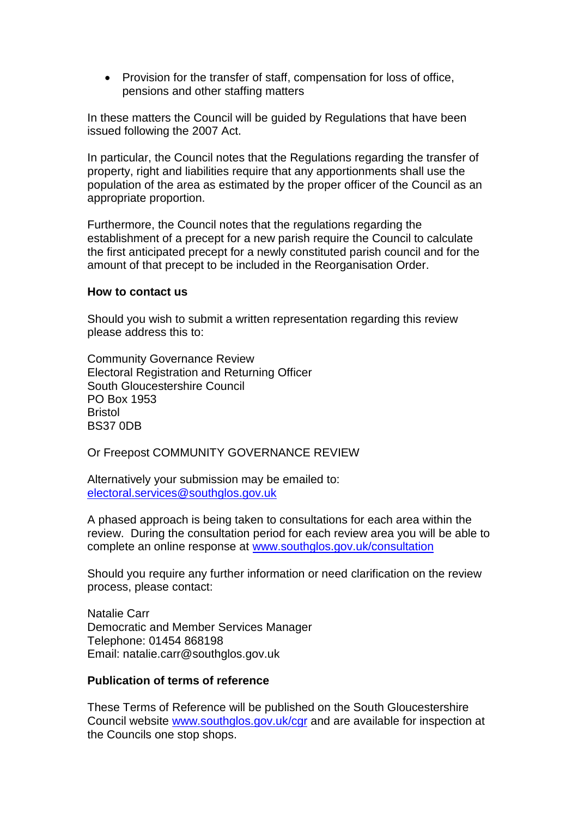• Provision for the transfer of staff, compensation for loss of office, pensions and other staffing matters

In these matters the Council will be guided by Regulations that have been issued following the 2007 Act.

In particular, the Council notes that the Regulations regarding the transfer of property, right and liabilities require that any apportionments shall use the population of the area as estimated by the proper officer of the Council as an appropriate proportion.

Furthermore, the Council notes that the regulations regarding the establishment of a precept for a new parish require the Council to calculate the first anticipated precept for a newly constituted parish council and for the amount of that precept to be included in the Reorganisation Order.

#### **How to contact us**

Should you wish to submit a written representation regarding this review please address this to:

Community Governance Review Electoral Registration and Returning Officer South Gloucestershire Council PO Box 1953 **Bristol** BS37 0DB

Or Freepost COMMUNITY GOVERNANCE REVIEW

Alternatively your submission may be emailed to: [electoral.services@southglos.gov.uk](mailto:electoral.services@southglos.gov.uk)

A phased approach is being taken to consultations for each area within the review. During the consultation period for each review area you will be able to complete an online response at [www.southglos.gov.uk/consultation](http://www.southglos.gov.uk/consultation)

Should you require any further information or need clarification on the review process, please contact:

Natalie Carr Democratic and Member Services Manager Telephone: 01454 868198 Email: natalie.carr@southglos.gov.uk

## **Publication of terms of reference**

These Terms of Reference will be published on the South Gloucestershire Council website [www.southglos.gov.uk/](http://www.southglos.gov.uk/)cgr and are available for inspection at the Councils one stop shops.